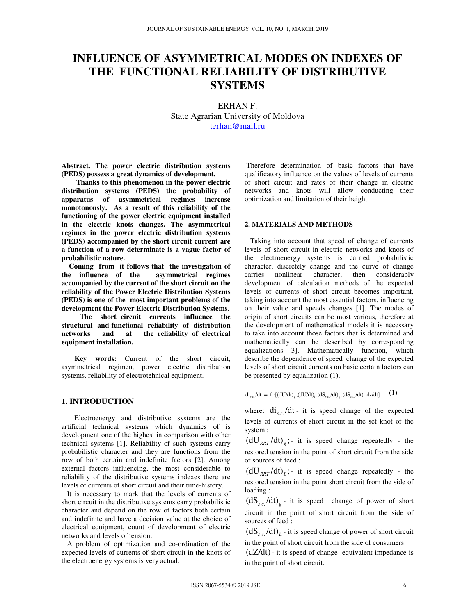# **INFLUENCE OF ASYMMETRICAL MODES ON INDEXES OF THE FUNCTIONAL RELIABILITY OF DISTRIBUTIVE SYSTEMS**

ERHAN F. State Agrarian University of Moldova terhan@mail.ru

**Abstract. The power electric distribution systems (PEDS) possess a great dynamics of development.** 

 **Thanks to this phenomenon in the power electric distribution systems (PEDS) the probability of apparatus of asymmetrical regimes increase monotonously. As a result of this reliability of the functioning of the power electric equipment installed in the electric knots changes. The asymmetrical regimes in the power electric distribution systems (PEDS) accompanied by the short circuit current are a function of a row determinate is a vague factor of probabilistic nature.** 

 **Coming from it follows that the investigation of the influence of the asymmetrical regimes accompanied by the current of the short circuit on the reliability of the Power Electric Distribution Systems (PEDS) is one of the most important problems of the development the Power Electric Distribution Systems.** 

 **The short circuit currents influence the structural and functional reliability of distribution networks and at the reliability of electrical equipment installation.** 

 **Key words:** Current of the short circuit, asymmetrical regimen, power electric distribution systems, reliability of electrotehnical equipment.

### **1. INTRODUCTION**

 Electroenergy and distributive systems are the artificial technical systems which dynamics of is development one of the highest in comparison with other technical systems [1]. Reliability of such systems carry probabilistic character and they are functions from the row of both certain and indefinite factors [2]. Among external factors influencing, the most considerable to reliability of the distributive systems indexes there are levels of currents of short circuit and their time-history.

 It is necessary to mark that the levels of currents of short circuit in the distributive systems carry probabilistic character and depend on the row of factors both certain and indefinite and have a decision value at the choice of electrical equipment, count of development of electric networks and levels of tension.

 A problem of optimization and co-ordination of the expected levels of currents of short circuit in the knots of the electroenergy systems is very actual.

 Therefore determination of basic factors that have qualificatory influence on the values of levels of currents of short circuit and rates of their change in electric networks and knots will allow conducting their optimization and limitation of their height.

#### **2. MATERIALS AND METHODS**

 Taking into account that speed of change of currents levels of short circuit in electric networks and knots of the electroenergy systems is carried probabilistic character, discretely change and the curve of change carries nonlinear character, then considerably development of calculation methods of the expected levels of currents of short circuit becomes important, taking into account the most essential factors, influencing on their value and speeds changes [1]. The modes of origin of short circuits can be most various, therefore at the development of mathematical models it is necessary to take into account those factors that is determined and mathematically can be described by corresponding equalizations 3]. Mathematically function, which describe the dependence of speed change of the expected levels of short circuit currents on basic certain factors can be presented by equalization (1).

 $di_{s.c.}/dt = f \cdot [(dU/dt)_{g};(dU/dt)_{i};(dS_{s.c.}/dt)_{g};(dS_{s.c.}/dt)_{i};dz/dt]$  (1)

where:  $di_{s.c.}/dt$  - it is speed change of the expected levels of currents of short circuit in the set knot of the system :

 $(dU_{\text{RRT}}/dt)$ <sub>a</sub>; it is speed change repeatedly - the restored tension in the point of short circuit from the side of sources of feed :

 $(dU_{RRT}/dt)$ ; *i* is speed change repeatedly - the restored tension in the point short circuit from the side of loading :

 $(dS<sub>s.c.</sub>/dt)<sub>g</sub>$ - it is speed change of power of short circuit in the point of short circuit from the side of sources of feed :

 $\left(\text{dS}_{s.c.}/\text{d}t\right)_L$  - it is speed change of power of short circuit in the point of short circuit from the side of consumers:

(dZ/dt)**-** it is speed of change equivalent impedance is in the point of short circuit.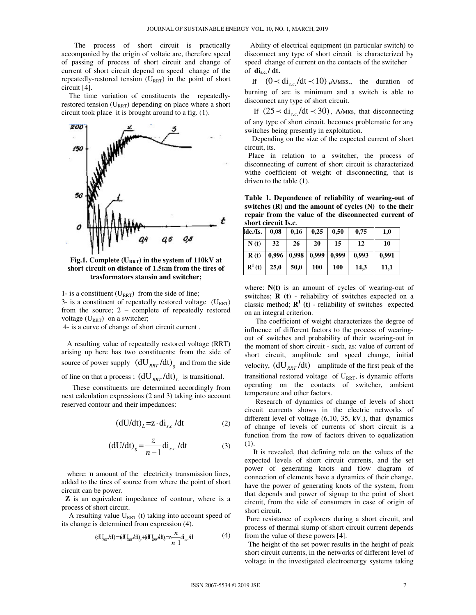The process of short circuit is practically accompanied by the origin of voltaic arc, therefore speed of passing of process of short circuit and change of current of short circuit depend on speed change of the repeatedly-restored tension  $(U_{RRT})$  in the point of short circuit [4].

 The time variation of constituents the repeatedlyrestored tension  $(U_{RRT})$  depending on place where a short circuit took place it is brought around to a fig. (1).



**Fig.1. Complete (URRT) in the system of 110kV at short circuit on distance of 1.5**к**m from the tires of trasformators stansin and switcher;** 

1- is a constituent  $(U_{RRT})$  from the side of line;

3- is a constituent of repeatedly restored voltage  $(U_{RRT})$ from the source; 2 – complete of repeatedly restored voltage  $(U_{RRT})$  on a switcher;

4- is a curve of change of short circuit current .

 A resulting value of repeatedly restored voltage (RRT) arising up here has two constituents: from the side of source of power supply  $(dU_{RRT}/dt)$ <sub>g</sub> and from the side of line on that a process ;  $(dU_{RRT}/dt)$ <sub>L</sub> is transitional.

 These constituents are determined accordingly from next calculation expressions (2 and 3) taking into account reserved contour and their impedances:

$$
(dU/dt)_L = z \cdot di_{s.c.}/dt \tag{2}
$$

$$
\left(\frac{dU}{dt}\right)_g = \frac{z}{n-1} \text{di}_{s.c.}/\text{dt}
$$
 (3)

where: **n** amount of the electricity transmission lines, added to the tires of source from where the point of short circuit can be power.

 **Z** is an equivalent impedance of contour, where is a process of short circuit.

A resulting value  $U_{RRT}$  (t) taking into account speed of its change is determined from expression (4).

$$
(\mathbf{d}U_{\text{av}}/\mathbf{d}) = (\mathbf{d}U_{\text{av}}/\mathbf{d})_{g} + (\mathbf{d}U_{\text{av}}/\mathbf{d})_{j} = \frac{n}{n-1} \mathbf{d}_{\text{sc}}/\mathbf{d}
$$
(4)

 Ability of electrical equipment (in particular switch) to disconnect any type of short circuit is characterized by speed change of current on the contacts of the switcher of **dis.c. / dt.** 

If  $(0 \lt d_{s,c}/dt \lt 10)$ , A/MKs., the duration of burning of arc is minimum and a switch is able to disconnect any type of short circuit.

If  $(25 \prec di_{s.c.}/dt \prec 30)$ , A/Mks, that disconnecting of any type of short circuit. becomes problematic for any switches being presently in exploitation.

 Depending on the size of the expected current of short circuit, its.

 Place in relation to a switcher, the process of disconnecting of current of short circuit is characterized withe coefficient of weight of disconnecting, that is driven to the table (1).

**Table 1. Dependence of reliability of wearing-out of switches (R) and the amount of cycles (N) to the their repair from the value of the disconnected current of short circuit Is.c**.

| Idc./Is.           | 0.08  | 0.16  | 0.25  | 0.50  | 0,75  | 1,0   |
|--------------------|-------|-------|-------|-------|-------|-------|
| N(t)               | 32    | 26    | 20    | 15    | 12    | 10    |
| $\mathbf{R}(t)$    | 0,996 | 0,998 | 0,999 | 0,999 | 0.993 | 0.991 |
| $\mathbf{R}^1$ (t) | 25,0  | 50,0  | 100   | 100   | 14,3  | 11,1  |

where:  $N(t)$  is an amount of cycles of wearing-out of switches; **R (t)** - reliability of switches expected on a classic method;  $\mathbf{R}^1$  (**t**) - reliability of switches expected on an integral criterion.

 The coefficient of weight characterizes the degree of influence of different factors to the process of wearingout of switches and probability of their wearing-out in the moment of short circuit - such, as: value of current of short circuit, amplitude and speed change, initial velocity,  $(dU_{RRT}/dt)$  amplitude of the first peak of the transitional restored voltage of  $U_{RRT}$ , is dynamic efforts operating on the contacts of switcher, ambient temperature and other factors.

 Research of dynamics of change of levels of short circuit currents shows in the electric networks of different level of voltage (6,10, 35, kV.), that dynamics of change of levels of currents of short circuit is a function from the row of factors driven to equalization (1).

It is revealed, that defining role on the values of the expected levels of short circuit currents, and the set power of generating knots and flow diagram of connection of elements have a dynamics of their change, have the power of generating knots of the system, from that depends and power of signup to the point of short circuit, from the side of consumers in case of origin of short circuit.

 Pure resistance of explorers during a short circuit, and process of thermal slump of short circuit current depends from the value of these powers [4].

 The height of the set power results in the height of peak short circuit currents, in the networks of different level of voltage in the investigated electroenergy systems taking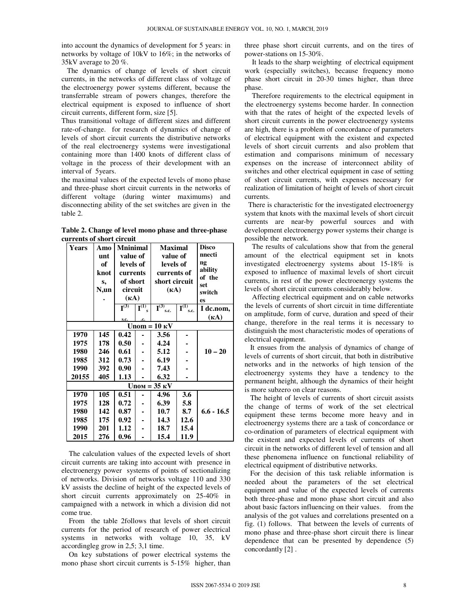into account the dynamics of development for 5 years: in networks by voltage of 10kV to 16%; in the networks of 35kV average to 20 %.

The dynamics of change of levels of short circuit currents, in the networks of different class of voltage of the electroenergy power systems different, because the transferrable stream of powers changes, therefore the electrical equipment is exposed to influence of short circuit currents, different form, size [5].

Thus transitional voltage of different sizes and different rate-of-change. for research of dynamics of change of levels of short circuit currents the distributive networks of the real electroenergy systems were investigational containing more than 1400 knots of different class of voltage in the process of their development with an interval of 5years.

the maximal values of the expected levels of mono phase and three-phase short circuit currents in the networks of different voltage (during winter maximums) and disconnecting ability of the set switches are given in the table 2.

Table 2. Change of level mono phase and three-phase currents of short circuit

| Years                                      | Amo<br>unt<br>оf<br>knot<br>s,<br>N,un | <b>Mninimal</b><br>value of<br>levels of<br>currents<br>of short<br>circuit |                                    | Maximal<br>value of<br>levels of<br>currents of<br>short circuit<br>$(\kappa A)$ |                                       | <b>Disco</b><br>nnecti<br>$\mathbf{n}$<br>ability<br>of the<br>set |  |  |  |
|--------------------------------------------|----------------------------------------|-----------------------------------------------------------------------------|------------------------------------|----------------------------------------------------------------------------------|---------------------------------------|--------------------------------------------------------------------|--|--|--|
|                                            |                                        | $(\kappa A)$                                                                |                                    |                                                                                  |                                       | switch<br>es                                                       |  |  |  |
|                                            |                                        | $\overline{\mathbf{I}^{(3)}}$                                               | $\overline{\mathbf{I}^{(1)}}$<br>s | $\overline{\mathbf{I}^{(3)}}$<br>s.c.                                            | $\overline{\mathbf{I}^{(1)}}$<br>s.c. | I dc.nom,                                                          |  |  |  |
|                                            |                                        | s.c.                                                                        | .c.                                |                                                                                  |                                       | $(\kappa A)$                                                       |  |  |  |
| $\mathrm{Unom} = 10 \mathrm{K} \mathrm{V}$ |                                        |                                                                             |                                    |                                                                                  |                                       |                                                                    |  |  |  |
| 1970                                       | 145                                    | 0.42                                                                        | ÷                                  | 3.56                                                                             |                                       |                                                                    |  |  |  |
| 1975                                       | 178                                    | 0.50                                                                        |                                    | 4.24                                                                             |                                       |                                                                    |  |  |  |
| 1980                                       | 246                                    | 0.61                                                                        |                                    | 5.12                                                                             |                                       | $10 - 20$                                                          |  |  |  |
| 1985                                       | 312                                    | 0.73                                                                        |                                    | 6.19                                                                             |                                       |                                                                    |  |  |  |
| 1990                                       | 392                                    | 0.90                                                                        |                                    | 7.43                                                                             |                                       |                                                                    |  |  |  |
| 20155                                      | 405                                    | 1.13                                                                        |                                    | 6.32                                                                             |                                       |                                                                    |  |  |  |
| $Unom = 35$ KV                             |                                        |                                                                             |                                    |                                                                                  |                                       |                                                                    |  |  |  |
| 1970                                       | 105                                    | 0.51                                                                        |                                    | 4.96                                                                             | 3.6                                   |                                                                    |  |  |  |
| 1975                                       | 128                                    | 0.72                                                                        |                                    | 6.39                                                                             | 5.8                                   |                                                                    |  |  |  |
| 1980                                       | 142                                    | 0.87                                                                        |                                    | 10.7                                                                             | 8.7                                   | $6.6 - 16.5$                                                       |  |  |  |
| 1985                                       | 175                                    | 0.92                                                                        |                                    | 14.3                                                                             | 12.6                                  |                                                                    |  |  |  |
| 1990                                       | 201                                    | 1.12                                                                        |                                    | 18.7                                                                             | 15.4                                  |                                                                    |  |  |  |
| 2015                                       | 276                                    | 0.96                                                                        |                                    | 15.4                                                                             | 11.9                                  |                                                                    |  |  |  |

The calculation values of the expected levels of short circuit currents are taking into account with presence in electroenergy power systems of points of sectionalizing of networks. Division of networks voltage 110 and 330 kV assists the decline of height of the expected levels of short circuit currents approximately on 25-40% in campaigned with a network in which a division did not come true.

From the table 2follows that levels of short circuit currents for the period of research of power electrical systems in networks with voltage 10, 35, kV accordingleg grow in 2,5; 3,1 time.

On key substations of power electrical systems the mono phase short circuit currents is 5-15% higher, than three phase short circuit currents, and on the tires of power-stations on 15-30%.

It leads to the sharp weighting of electrical equipment work (especially switches), because frequency mono phase short circuit in 20-30 times higher, than three phase.

Therefore requirements to the electrical equipment in the electroenergy systems become harder. In connection with that the rates of height of the expected levels of short circuit currents in the power electroenergy systems are high, there is a problem of concordance of parameters of electrical equipment with the existent and expected levels of short circuit currents and also problem that estimation and comparisons minimum of necessary expenses on the increase of interconnect ability of switches and other electrical equipment in case of setting of short circuit currents, with expenses necessary for realization of limitation of height of levels of short circuit currents.

There is characteristic for the investigated electroenergy system that knots with the maximal levels of short circuit currents are near-by powerful sources and with development electroenergy power systems their change is possible the network.

The results of calculations show that from the general amount of the electrical equipment set in knots investigated electroenergy systems about 15-18% is exposed to influence of maximal levels of short circuit currents, in rest of the power electroenergy systems the levels of short circuit currents considerably below.

Affecting electrical equipment and on cable networks the levels of currents of short circuit in time differentiate on amplitude, form of curve, duration and speed of their change, therefore in the real terms it is necessary to distinguish the most characteristic modes of operations of electrical equipment.

It ensues from the analysis of dynamics of change of levels of currents of short circuit, that both in distributive networks and in the networks of high tension of the electroenergy systems they have a tendency to the permanent height, although the dynamics of their height is more subzero on clear reasons.

The height of levels of currents of short circuit assists the change of terms of work of the set electrical equipment these terms become more heavy and in electroenergy systems there are a task of concordance or co-ordination of parameters of electrical equipment with the existent and expected levels of currents of short circuit in the networks of different level of tension and all these phenomena influence on functional reliability of electrical equipment of distributive networks.

For the decision of this task reliable information is needed about the parameters of the set electrical equipment and value of the expected levels of currents both three-phase and mono phase short circuit and also about basic factors influencing on their values. from the analysis of the got values and correlations presented on a fig. (1) follows. That between the levels of currents of mono phase and three-phase short circuit there is linear dependence that can be presented by dependence (5) concordantly [2].